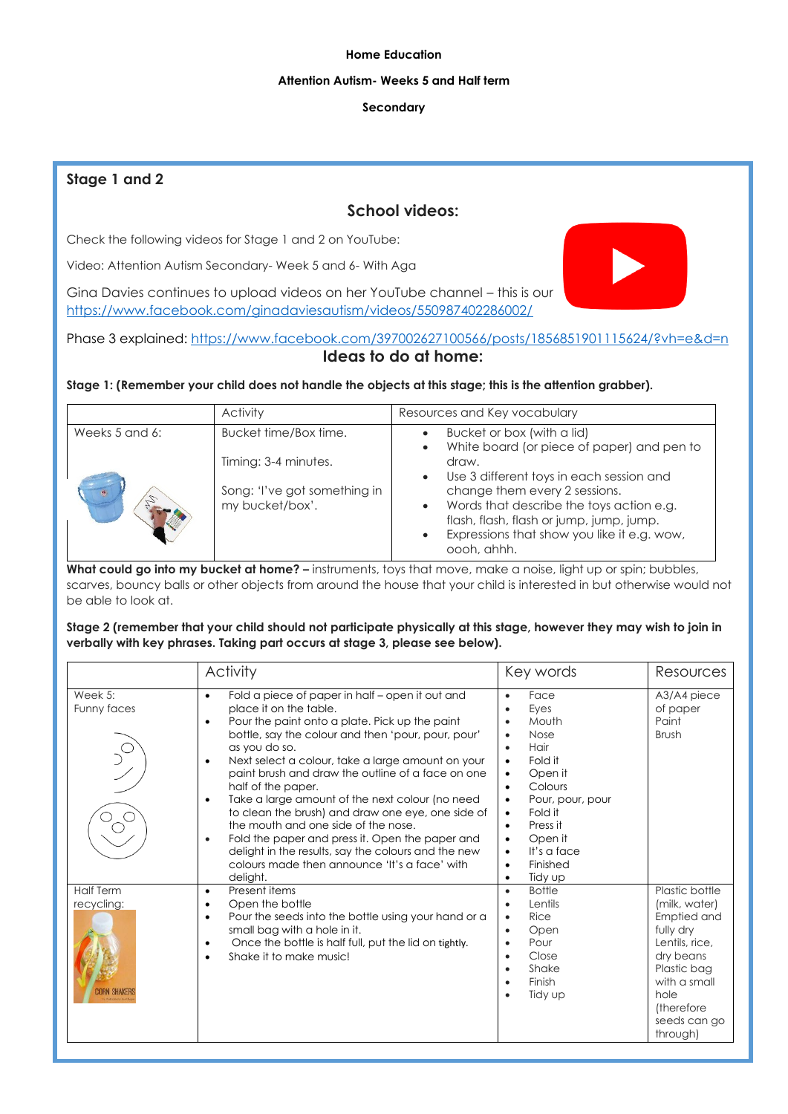#### **Home Education**

#### **Attention Autism- Weeks 5 and Half term**

### **Secondary**

## **Stage 1 and 2**

## **School videos:**

Check the following videos for Stage 1 and 2 on YouTube:

Video: Attention Autism Secondary- Week 5 and 6- With Aga

Gina Davies continues to upload videos on her YouTube channel – this is our <https://www.facebook.com/ginadaviesautism/videos/550987402286002/>



Phase 3 explained: <https://www.facebook.com/397002627100566/posts/1856851901115624/?vh=e&d=n> **Ideas to do at home:**

#### **Stage 1: (Remember your child does not handle the objects at this stage; this is the attention grabber).**

|                | Activity                                        | Resources and Key vocabulary                                                                                          |
|----------------|-------------------------------------------------|-----------------------------------------------------------------------------------------------------------------------|
| Weeks 5 and 6: | Bucket time/Box time.                           | Bucket or box (with a lid)<br>White board (or piece of paper) and pen to                                              |
|                | Timing: 3-4 minutes.                            | draw.<br>Use 3 different toys in each session and                                                                     |
|                | Song: 'I've got something in<br>my bucket/box'. | change them every 2 sessions.<br>Words that describe the toys action e.g.<br>flash, flash, flash or jump, jump, jump. |
|                |                                                 | Expressions that show you like it e.g. wow,<br>oooh, ahhh.                                                            |

What could go into my bucket at home? - instruments, toys that move, make a noise, light up or spin; bubbles, scarves, bouncy balls or other objects from around the house that your child is interested in but otherwise would not be able to look at.

#### **Stage 2 (remember that your child should not participate physically at this stage, however they may wish to join in verbally with key phrases. Taking part occurs at stage 3, please see below).**

|                                | <b>Activity</b>                                                                                                                                                                                                                                                                                                                                                                                                                                                                                                                                                                                                                                                                                                           | Key words                                                                                                                                                                                                                                             | Resources                                                                                                                                                                    |
|--------------------------------|---------------------------------------------------------------------------------------------------------------------------------------------------------------------------------------------------------------------------------------------------------------------------------------------------------------------------------------------------------------------------------------------------------------------------------------------------------------------------------------------------------------------------------------------------------------------------------------------------------------------------------------------------------------------------------------------------------------------------|-------------------------------------------------------------------------------------------------------------------------------------------------------------------------------------------------------------------------------------------------------|------------------------------------------------------------------------------------------------------------------------------------------------------------------------------|
| Week 5:<br>Funny faces         | Fold a piece of paper in half – open it out and<br>$\bullet$<br>place it on the table.<br>Pour the paint onto a plate. Pick up the paint<br>$\bullet$<br>bottle, say the colour and then 'pour, pour, pour'<br>as you do so.<br>Next select a colour, take a large amount on your<br>$\bullet$<br>paint brush and draw the outline of a face on one<br>half of the paper.<br>Take a large amount of the next colour (no need<br>$\bullet$<br>to clean the brush) and draw one eye, one side of<br>the mouth and one side of the nose.<br>Fold the paper and press it. Open the paper and<br>$\bullet$<br>delight in the results, say the colours and the new<br>colours made then announce 'It's a face' with<br>delight. | Face<br>Eyes<br>Mouth<br>Nose<br>$\bullet$<br>Hair<br>٠<br>Fold it<br>$\bullet$<br>Open it<br>Colours<br>$\bullet$<br>Pour, pour, pour<br>Fold it<br>$\bullet$<br>Press it<br>$\bullet$<br>Open it<br>It's a face<br>$\bullet$<br>Finished<br>Tidy up | A3/A4 piece<br>of paper<br>Paint<br><b>Brush</b>                                                                                                                             |
| <b>Half Term</b><br>recycling: | Present items<br>$\bullet$<br>Open the bottle<br>٠<br>Pour the seeds into the bottle using your hand or a<br>$\bullet$<br>small bag with a hole in it.<br>Once the bottle is half full, put the lid on tightly.<br>٠<br>Shake it to make music!<br>$\bullet$                                                                                                                                                                                                                                                                                                                                                                                                                                                              | <b>Bottle</b><br>$\bullet$<br>Lentils<br>Rice<br>٠<br>Open<br>$\bullet$<br>Pour<br>Close<br>$\bullet$<br>Shake<br>Finish<br>$\bullet$<br>Tidy up<br>٠                                                                                                 | Plastic bottle<br>(milk, water)<br>Emptied and<br>fully dry<br>Lentils, rice,<br>dry beans<br>Plastic bag<br>with a small<br>hole<br>(therefore)<br>seeds can go<br>through) |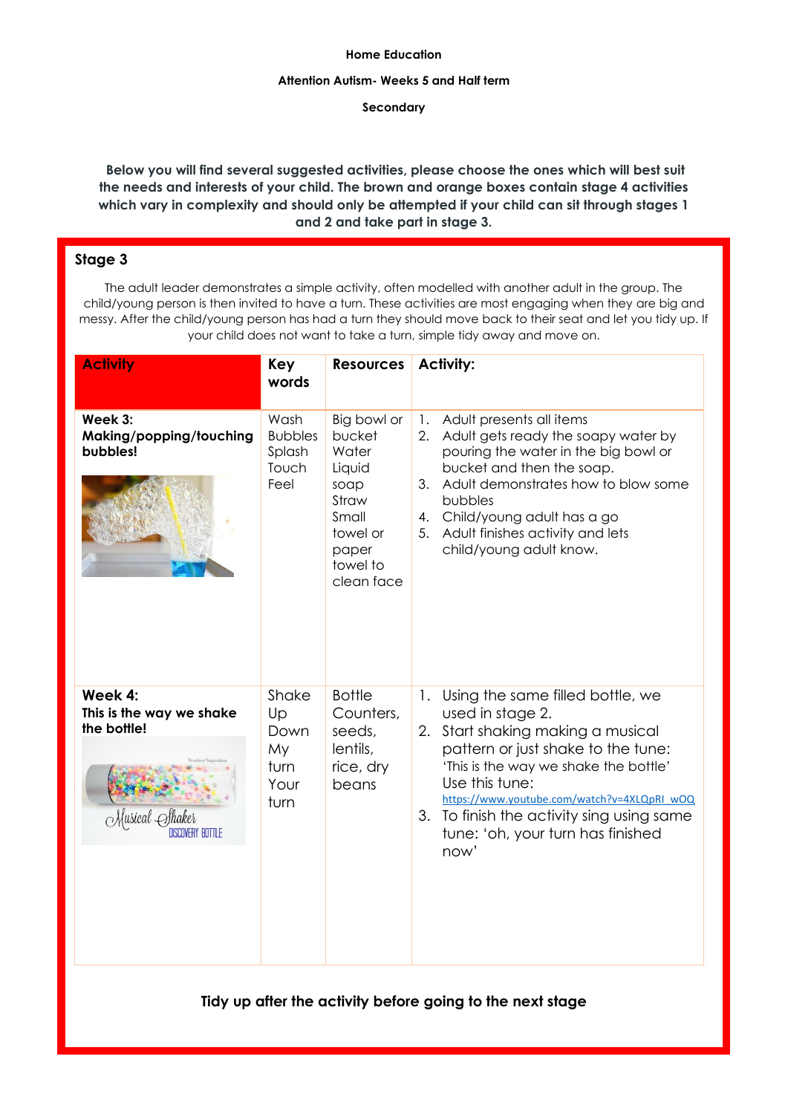#### **Home Education**

#### **Attention Autism- Weeks 5 and Half term**

#### **Secondary**

**Below you will find several suggested activities, please choose the ones which will best suit the needs and interests of your child. The brown and orange boxes contain stage 4 activities which vary in complexity and should only be attempted if your child can sit through stages 1 and 2 and take part in stage 3.** 

## **Stage 3**

The adult leader demonstrates a simple activity, often modelled with another adult in the group. The child/young person is then invited to have a turn. These activities are most engaging when they are big and messy. After the child/young person has had a turn they should move back to their seat and let you tidy up. If your child does not want to take a turn, simple tidy away and move on.

| <b>Activity</b>                                    | Key<br>words                                      | <b>Resources</b>                                                                                                  | <b>Activity:</b>                                                                                                                                                                                                                                                                                                                                         |
|----------------------------------------------------|---------------------------------------------------|-------------------------------------------------------------------------------------------------------------------|----------------------------------------------------------------------------------------------------------------------------------------------------------------------------------------------------------------------------------------------------------------------------------------------------------------------------------------------------------|
| Week 3:<br>Making/popping/touching<br>bubbles!     | Wash<br><b>Bubbles</b><br>Splash<br>Touch<br>Feel | Big bowl or<br>bucket<br>Water<br>Liquid<br>soap<br>Straw<br>Small<br>towel or<br>paper<br>towel to<br>clean face | Adult presents all items<br>1.<br>Adult gets ready the soapy water by<br>2.<br>pouring the water in the big bowl or<br>bucket and then the soap.<br>Adult demonstrates how to blow some<br>3.<br>bubbles<br>Child/young adult has a go<br>4.<br>Adult finishes activity and lets<br>5.<br>child/young adult know.                                        |
| Week 4:<br>This is the way we shake<br>the bottle! | Shake<br>Up<br>Down<br>My<br>turn<br>Your<br>turn | <b>Bottle</b><br>Counters,<br>seeds,<br>lentils,<br>rice, dry<br>beans                                            | Using the same filled bottle, we<br>$\mathbf{1}$ .<br>used in stage 2.<br>Start shaking making a musical<br>2.<br>pattern or just shake to the tune:<br>'This is the way we shake the bottle'<br>Use this tune:<br>https://www.youtube.com/watch?v=4XLQpRI_wOQ<br>3. To finish the activity sing using same<br>tune: 'oh, your turn has finished<br>now' |

**Tidy up after the activity before going to the next stage**

2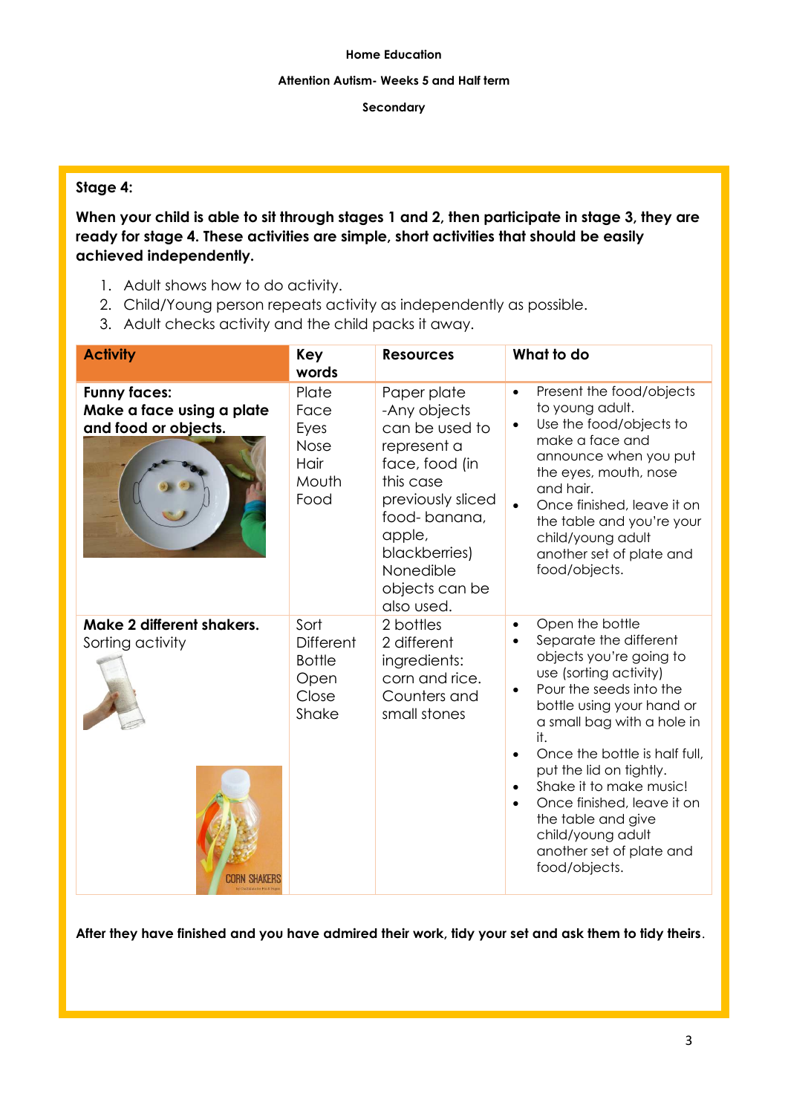#### **Attention Autism- Weeks 5 and Half term**

### **Secondary**

## **Stage 4:**

**When your child is able to sit through stages 1 and 2, then participate in stage 3, they are ready for stage 4. These activities are simple, short activities that should be easily achieved independently.** 

- 1. Adult shows how to do activity.
- 2. Child/Young person repeats activity as independently as possible.
- 3. Adult checks activity and the child packs it away.

| <b>Activity</b>                                                          | Key<br>words                                                        | <b>Resources</b>                                                                                                                                                                                         | What to do                                                                                                                                                                                                                                                                                                                                                                                                                                                                |
|--------------------------------------------------------------------------|---------------------------------------------------------------------|----------------------------------------------------------------------------------------------------------------------------------------------------------------------------------------------------------|---------------------------------------------------------------------------------------------------------------------------------------------------------------------------------------------------------------------------------------------------------------------------------------------------------------------------------------------------------------------------------------------------------------------------------------------------------------------------|
| <b>Funny faces:</b><br>Make a face using a plate<br>and food or objects. | Plate<br>Face<br>Eyes<br>Nose<br>Hair<br>Mouth<br>Food              | Paper plate<br>-Any objects<br>can be used to<br>represent a<br>face, food (in<br>this case<br>previously sliced<br>food-banana,<br>apple,<br>blackberries)<br>Nonedible<br>objects can be<br>also used. | Present the food/objects<br>$\bullet$<br>to young adult.<br>Use the food/objects to<br>$\bullet$<br>make a face and<br>announce when you put<br>the eyes, mouth, nose<br>and hair.<br>Once finished, leave it on<br>the table and you're your<br>child/young adult<br>another set of plate and<br>food/objects.                                                                                                                                                           |
| Make 2 different shakers.<br>Sorting activity                            | Sort<br><b>Different</b><br><b>Bottle</b><br>Open<br>Close<br>Shake | 2 bottles<br>2 different<br>ingredients:<br>corn and rice.<br>Counters and<br>small stones                                                                                                               | Open the bottle<br>$\bullet$<br>Separate the different<br>$\bullet$<br>objects you're going to<br>use (sorting activity)<br>Pour the seeds into the<br>bottle using your hand or<br>a small bag with a hole in<br>it.<br>Once the bottle is half full,<br>$\bullet$<br>put the lid on tightly.<br>Shake it to make music!<br>$\bullet$<br>Once finished, leave it on<br>$\bullet$<br>the table and give<br>child/young adult<br>another set of plate and<br>food/objects. |

**After they have finished and you have admired their work, tidy your set and ask them to tidy theirs**.